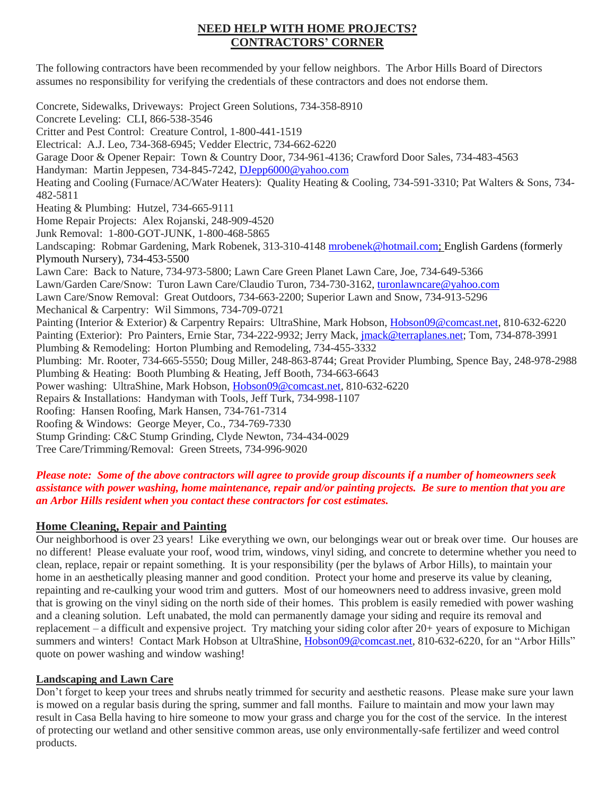# **NEED HELP WITH HOME PROJECTS? CONTRACTORS' CORNER**

The following contractors have been recommended by your fellow neighbors. The Arbor Hills Board of Directors assumes no responsibility for verifying the credentials of these contractors and does not endorse them.

Concrete, Sidewalks, Driveways: Project Green Solutions, 734-358-8910 Concrete Leveling: CLI, 866-538-3546 Critter and Pest Control: Creature Control, 1-800-441-1519 Electrical: A.J. Leo, 734-368-6945; Vedder Electric, 734-662-6220 Garage Door & Opener Repair: Town & Country Door, 734-961-4136; Crawford Door Sales, 734-483-4563 Handyman: Martin Jeppesen, 734-845-7242, [DJepp6000@yahoo.com](mailto:DJepp6000@yahoo.com) Heating and Cooling (Furnace/AC/Water Heaters): Quality Heating & Cooling, 734-591-3310; Pat Walters & Sons, 734- 482-5811 Heating & Plumbing: Hutzel, 734-665-9111 Home Repair Projects: Alex Rojanski, 248-909-4520 Junk Removal: 1-800-GOT-JUNK, 1-800-468-5865 Landscaping: Robmar Gardening, Mark Robenek, 313-310-4148 [mrobenek@hotmail.com;](mailto:mrobenek@hotmail.com) English Gardens (formerly Plymouth Nursery), 734-453-5500 Lawn Care: Back to Nature, 734-973-5800; Lawn Care Green Planet Lawn Care, Joe, 734-649-5366 Lawn/Garden Care/Snow: Turon Lawn Care/Claudio Turon, 734-730-3162, [turonlawncare@yahoo.com](mailto:turonlawncare@yahoo.com) Lawn Care/Snow Removal: Great Outdoors, 734-663-2200; Superior Lawn and Snow, 734-913-5296 Mechanical & Carpentry: Wil Simmons, 734-709-0721 Painting (Interior & Exterior) & Carpentry Repairs: UltraShine, Mark Hobson, [Hobson09@comcast.net,](mailto:Hobson09@comcast.net) 810-632-6220 Painting (Exterior): Pro Painters, Ernie Star, 734-222-9932; Jerry Mack, [jmack@terraplanes.net;](mailto:jmack@terraplanes.net) Tom, 734-878-3991 Plumbing & Remodeling: Horton Plumbing and Remodeling, 734-455-3332 Plumbing: Mr. Rooter, 734-665-5550; Doug Miller, 248-863-8744; Great Provider Plumbing, Spence Bay, 248-978-2988 Plumbing & Heating: Booth Plumbing & Heating, Jeff Booth, 734-663-6643 Power washing: UltraShine, Mark Hobson, [Hobson09@comcast.net,](mailto:Hobson09@comcast.net) 810-632-6220 Repairs & Installations: Handyman with Tools, Jeff Turk, 734-998-1107 Roofing: Hansen Roofing, Mark Hansen, 734-761-7314 Roofing & Windows: George Meyer, Co., 734-769-7330 Stump Grinding: C&C Stump Grinding, Clyde Newton, 734-434-0029 Tree Care/Trimming/Removal: Green Streets, 734-996-9020

#### *Please note: Some of the above contractors will agree to provide group discounts if a number of homeowners seek assistance with power washing, home maintenance, repair and/or painting projects. Be sure to mention that you are an Arbor Hills resident when you contact these contractors for cost estimates.*

# **Home Cleaning, Repair and Painting**

Our neighborhood is over 23 years! Like everything we own, our belongings wear out or break over time. Our houses are no different! Please evaluate your roof, wood trim, windows, vinyl siding, and concrete to determine whether you need to clean, replace, repair or repaint something. It is your responsibility (per the bylaws of Arbor Hills), to maintain your home in an aesthetically pleasing manner and good condition. Protect your home and preserve its value by cleaning, repainting and re-caulking your wood trim and gutters. Most of our homeowners need to address invasive, green mold that is growing on the vinyl siding on the north side of their homes. This problem is easily remedied with power washing and a cleaning solution. Left unabated, the mold can permanently damage your siding and require its removal and replacement – a difficult and expensive project. Try matching your siding color after 20+ years of exposure to Michigan summers and winters! Contact Mark Hobson at UltraShine, [Hobson09@comcast.net,](mailto:Hobson09@comcast.net) 810-632-6220, for an "Arbor Hills" quote on power washing and window washing!

#### **Landscaping and Lawn Care**

Don't forget to keep your trees and shrubs neatly trimmed for security and aesthetic reasons. Please make sure your lawn is mowed on a regular basis during the spring, summer and fall months. Failure to maintain and mow your lawn may result in Casa Bella having to hire someone to mow your grass and charge you for the cost of the service. In the interest of protecting our wetland and other sensitive common areas, use only environmentally-safe fertilizer and weed control products.